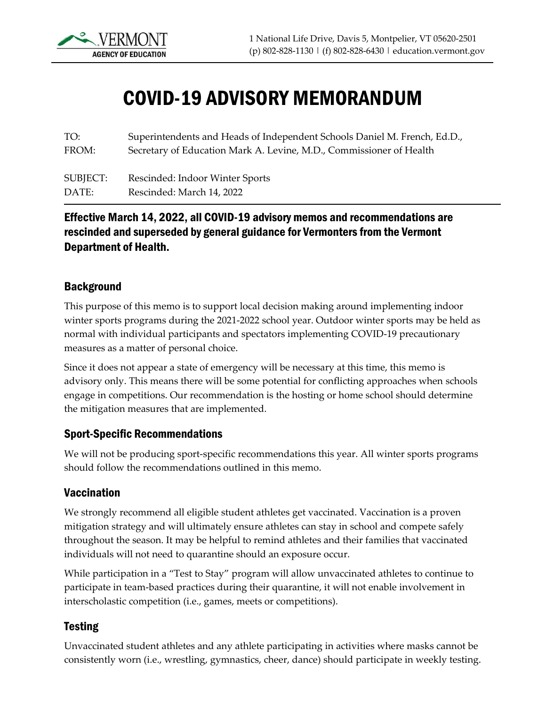

# COVID-19 ADVISORY MEMORANDUM

TO: FROM: Superintendents and Heads of Independent Schools Daniel M. French, Ed.D., Secretary of Education Mark A. Levine, M.D., Commissioner of Health

SUBJECT: DATE: Rescinded: Indoor Winter Sports Rescinded: March 14, 2022

### Effective March 14, 2022, all COVID-19 advisory memos and recommendations are rescinded and superseded by general guidance for Vermonters from the Vermont Department of Health.

#### **Background**

This purpose of this memo is to support local decision making around implementing indoor winter sports programs during the 2021-2022 school year. Outdoor winter sports may be held as normal with individual participants and spectators implementing COVID-19 precautionary measures as a matter of personal choice.

Since it does not appear a state of emergency will be necessary at this time, this memo is advisory only. This means there will be some potential for conflicting approaches when schools engage in competitions. Our recommendation is the hosting or home school should determine the mitigation measures that are implemented.

#### Sport-Specific Recommendations

We will not be producing sport-specific recommendations this year. All winter sports programs should follow the recommendations outlined in this memo.

#### Vaccination

We strongly recommend all eligible student athletes get vaccinated. Vaccination is a proven mitigation strategy and will ultimately ensure athletes can stay in school and compete safely throughout the season. It may be helpful to remind athletes and their families that vaccinated individuals will not need to quarantine should an exposure occur.

While participation in a "Test to Stay" program will allow unvaccinated athletes to continue to participate in team-based practices during their quarantine, it will not enable involvement in interscholastic competition (i.e., games, meets or competitions).

#### Testing

Unvaccinated student athletes and any athlete participating in activities where masks cannot be consistently worn (i.e., wrestling, gymnastics, cheer, dance) should participate in weekly testing.